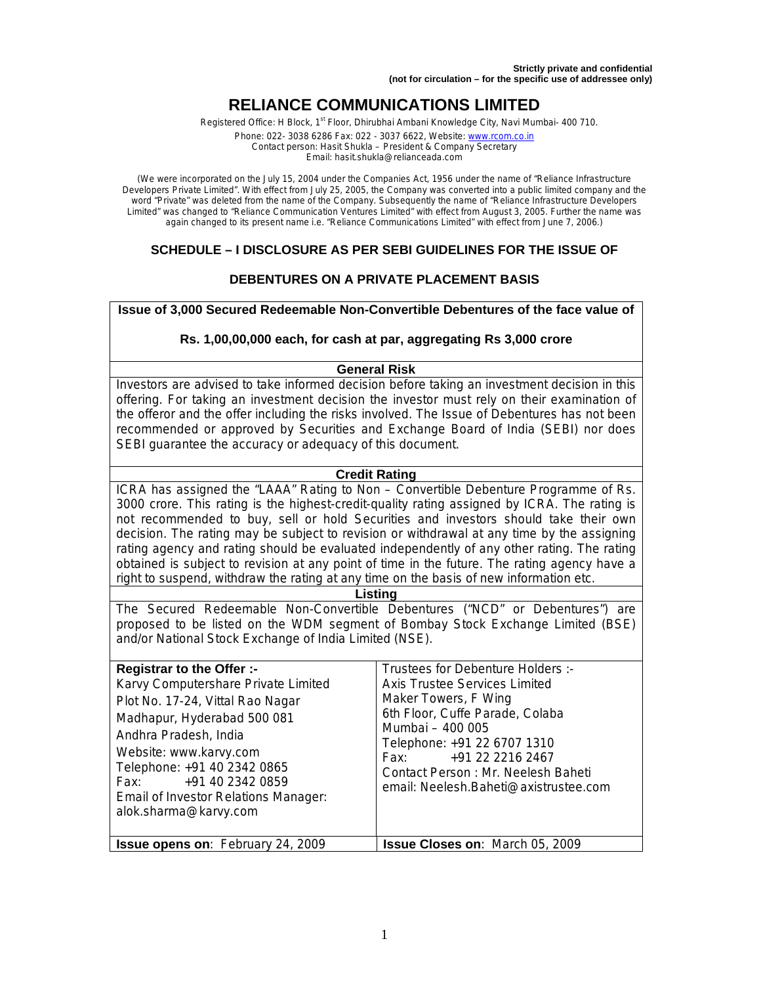# **RELIANCE COMMUNICATIONS LIMITED**

Registered Office: H Block, 1<sup>st</sup> Floor, Dhirubhai Ambani Knowledge City, Navi Mumbai- 400 710.

Phone: 022- 3038 6286 Fax: 022 - 3037 6622, Website: www.rcom.co.in Contact person: Hasit Shukla – President & Company Secretary Email: hasit.shukla@relianceada.com

(We were incorporated on the July 15, 2004 under the Companies Act, 1956 under the name of "Reliance Infrastructure Developers Private Limited". With effect from July 25, 2005, the Company was converted into a public limited company and the word "Private" was deleted from the name of the Company. Subsequently the name of "Reliance Infrastructure Developers Limited" was changed to "Reliance Communication Ventures Limited" with effect from August 3, 2005. Further the name was again changed to its present name i.e. "Reliance Communications Limited" with effect from June 7, 2006.)

## **SCHEDULE – I DISCLOSURE AS PER SEBI GUIDELINES FOR THE ISSUE OF**

## **DEBENTURES ON A PRIVATE PLACEMENT BASIS**

**Issue of 3,000 Secured Redeemable Non-Convertible Debentures of the face value of** 

#### **Rs. 1,00,00,000 each, for cash at par, aggregating Rs 3,000 crore**

#### **General Risk**

Investors are advised to take informed decision before taking an investment decision in this offering. For taking an investment decision the investor must rely on their examination of the offeror and the offer including the risks involved. The Issue of Debentures has not been recommended or approved by Securities and Exchange Board of India (SEBI) nor does SEBI guarantee the accuracy or adequacy of this document.

#### **Credit Rating**

ICRA has assigned the "LAAA" Rating to Non – Convertible Debenture Programme of Rs. 3000 crore. This rating is the highest-credit-quality rating assigned by ICRA. The rating is not recommended to buy, sell or hold Securities and investors should take their own decision. The rating may be subject to revision or withdrawal at any time by the assigning rating agency and rating should be evaluated independently of any other rating. The rating obtained is subject to revision at any point of time in the future. The rating agency have a right to suspend, withdraw the rating at any time on the basis of new information etc.

#### **Listing**

The Secured Redeemable Non-Convertible Debentures ("NCD" or Debentures") are proposed to be listed on the WDM segment of Bombay Stock Exchange Limited (BSE) and/or National Stock Exchange of India Limited (NSE).

| <b>Registrar to the Offer :-</b><br>Karvy Computershare Private Limited<br>Plot No. 17-24, Vittal Rao Nagar<br>Madhapur, Hyderabad 500 081<br>Andhra Pradesh, India<br>Website: www.karvy.com<br>Telephone: +91 40 2342 0865<br>+91 40 2342 0859<br>Fax:<br>Email of Investor Relations Manager:<br>alok.sharma@karvy.com | Trustees for Debenture Holders :-<br><b>Axis Trustee Services Limited</b><br>Maker Towers, F Wing<br>6th Floor, Cuffe Parade, Colaba<br>Mumbai - 400 005<br>Telephone: +91 22 6707 1310<br>+91 22 2216 2467<br>Fax: Fax:<br>Contact Person: Mr. Neelesh Baheti<br>email: Neelesh.Baheti@axistrustee.com |
|---------------------------------------------------------------------------------------------------------------------------------------------------------------------------------------------------------------------------------------------------------------------------------------------------------------------------|---------------------------------------------------------------------------------------------------------------------------------------------------------------------------------------------------------------------------------------------------------------------------------------------------------|
| <b>Issue opens on: February 24, 2009</b>                                                                                                                                                                                                                                                                                  | <b>Issue Closes on: March 05, 2009</b>                                                                                                                                                                                                                                                                  |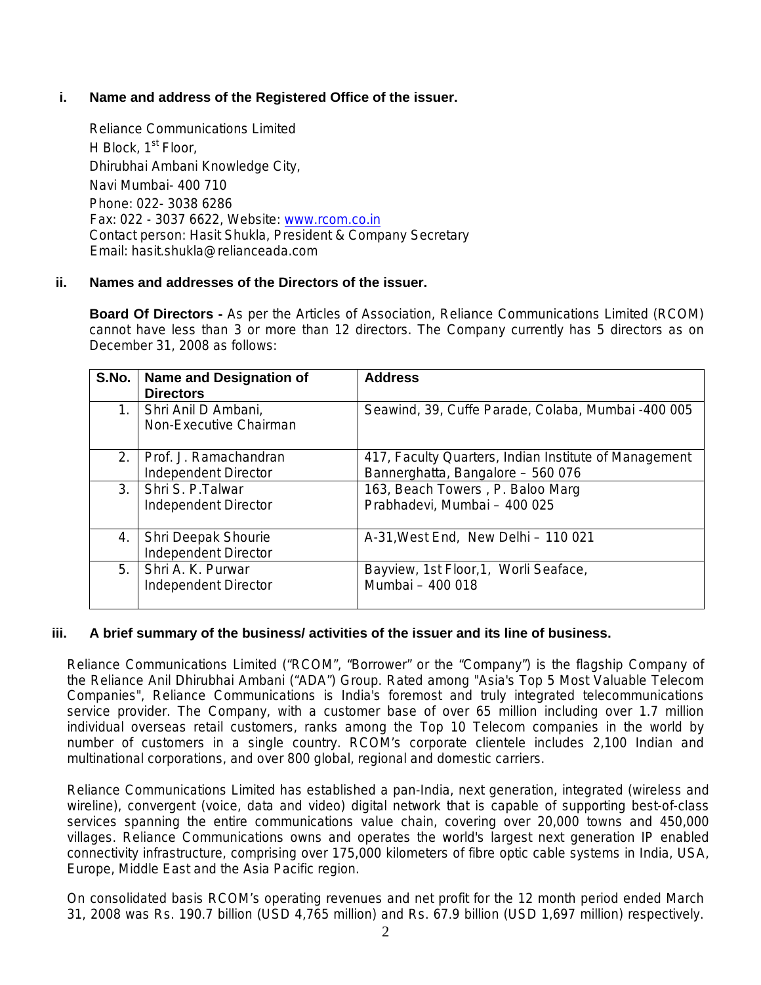## **i. Name and address of the Registered Office of the issuer.**

Reliance Communications Limited H Block, 1<sup>st</sup> Floor, Dhirubhai Ambani Knowledge City, Navi Mumbai- 400 710 Phone: 022- 3038 6286 Fax: 022 - 3037 6622, Website: www.rcom.co.in Contact person: Hasit Shukla, President & Company Secretary Email: hasit.shukla@relianceada.com

## **ii. Names and addresses of the Directors of the issuer.**

**Board Of Directors -** As per the Articles of Association, Reliance Communications Limited (RCOM) cannot have less than 3 or more than 12 directors. The Company currently has 5 directors as on December 31, 2008 as follows:

| S.No. | <b>Name and Designation of</b><br><b>Directors</b> | <b>Address</b>                                                                             |
|-------|----------------------------------------------------|--------------------------------------------------------------------------------------------|
| 1.    | Shri Anil D Ambani,<br>Non-Executive Chairman      | Seawind, 39, Cuffe Parade, Colaba, Mumbai -400 005                                         |
| 2.    | Prof. J. Ramachandran<br>Independent Director      | 417, Faculty Quarters, Indian Institute of Management<br>Bannerghatta, Bangalore - 560 076 |
| 3.    | Shri S. P. Talwar<br>Independent Director          | 163, Beach Towers, P. Baloo Marg<br>Prabhadevi, Mumbai - 400 025                           |
| 4.    | Shri Deepak Shourie<br><b>Independent Director</b> | A-31, West End, New Delhi - 110 021                                                        |
| 5.    | Shri A. K. Purwar<br>Independent Director          | Bayview, 1st Floor, 1, Worli Seaface,<br>Mumbai - 400 018                                  |

## **iii. A brief summary of the business/ activities of the issuer and its line of business.**

Reliance Communications Limited ("RCOM", "Borrower" or the "Company") is the flagship Company of the Reliance Anil Dhirubhai Ambani ("ADA") Group. Rated among "Asia's Top 5 Most Valuable Telecom Companies", Reliance Communications is India's foremost and truly integrated telecommunications service provider. The Company, with a customer base of over 65 million including over 1.7 million individual overseas retail customers, ranks among the Top 10 Telecom companies in the world by number of customers in a single country. RCOM's corporate clientele includes 2,100 Indian and multinational corporations, and over 800 global, regional and domestic carriers.

Reliance Communications Limited has established a pan-India, next generation, integrated (wireless and wireline), convergent (voice, data and video) digital network that is capable of supporting best-of-class services spanning the entire communications value chain, covering over 20,000 towns and 450,000 villages. Reliance Communications owns and operates the world's largest next generation IP enabled connectivity infrastructure, comprising over 175,000 kilometers of fibre optic cable systems in India, USA, Europe, Middle East and the Asia Pacific region.

On consolidated basis RCOM's operating revenues and net profit for the 12 month period ended March 31, 2008 was Rs. 190.7 billion (USD 4,765 million) and Rs. 67.9 billion (USD 1,697 million) respectively.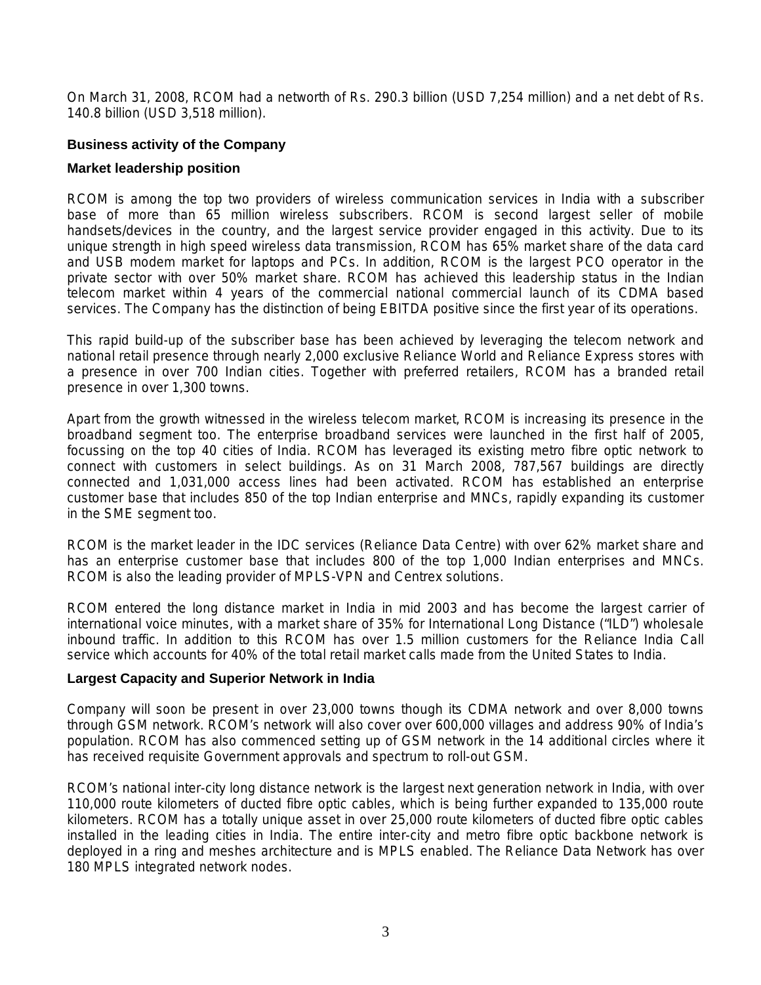On March 31, 2008, RCOM had a networth of Rs. 290.3 billion (USD 7,254 million) and a net debt of Rs. 140.8 billion (USD 3,518 million).

## **Business activity of the Company**

### **Market leadership position**

RCOM is among the top two providers of wireless communication services in India with a subscriber base of more than 65 million wireless subscribers. RCOM is second largest seller of mobile handsets/devices in the country, and the largest service provider engaged in this activity. Due to its unique strength in high speed wireless data transmission, RCOM has 65% market share of the data card and USB modem market for laptops and PCs. In addition, RCOM is the largest PCO operator in the private sector with over 50% market share. RCOM has achieved this leadership status in the Indian telecom market within 4 years of the commercial national commercial launch of its CDMA based services. The Company has the distinction of being EBITDA positive since the first year of its operations.

This rapid build-up of the subscriber base has been achieved by leveraging the telecom network and national retail presence through nearly 2,000 exclusive Reliance World and Reliance Express stores with a presence in over 700 Indian cities. Together with preferred retailers, RCOM has a branded retail presence in over 1,300 towns.

Apart from the growth witnessed in the wireless telecom market, RCOM is increasing its presence in the broadband segment too. The enterprise broadband services were launched in the first half of 2005, focussing on the top 40 cities of India. RCOM has leveraged its existing metro fibre optic network to connect with customers in select buildings. As on 31 March 2008, 787,567 buildings are directly connected and 1,031,000 access lines had been activated. RCOM has established an enterprise customer base that includes 850 of the top Indian enterprise and MNCs, rapidly expanding its customer in the SME segment too.

RCOM is the market leader in the IDC services (Reliance Data Centre) with over 62% market share and has an enterprise customer base that includes 800 of the top 1,000 Indian enterprises and MNCs. RCOM is also the leading provider of MPLS-VPN and Centrex solutions.

RCOM entered the long distance market in India in mid 2003 and has become the largest carrier of international voice minutes, with a market share of 35% for International Long Distance ("ILD") wholesale inbound traffic. In addition to this RCOM has over 1.5 million customers for the Reliance India Call service which accounts for 40% of the total retail market calls made from the United States to India.

### **Largest Capacity and Superior Network in India**

Company will soon be present in over 23,000 towns though its CDMA network and over 8,000 towns through GSM network. RCOM's network will also cover over 600,000 villages and address 90% of India's population. RCOM has also commenced setting up of GSM network in the 14 additional circles where it has received requisite Government approvals and spectrum to roll-out GSM.

RCOM's national inter-city long distance network is the largest next generation network in India, with over 110,000 route kilometers of ducted fibre optic cables, which is being further expanded to 135,000 route kilometers. RCOM has a totally unique asset in over 25,000 route kilometers of ducted fibre optic cables installed in the leading cities in India. The entire inter-city and metro fibre optic backbone network is deployed in a ring and meshes architecture and is MPLS enabled. The Reliance Data Network has over 180 MPLS integrated network nodes.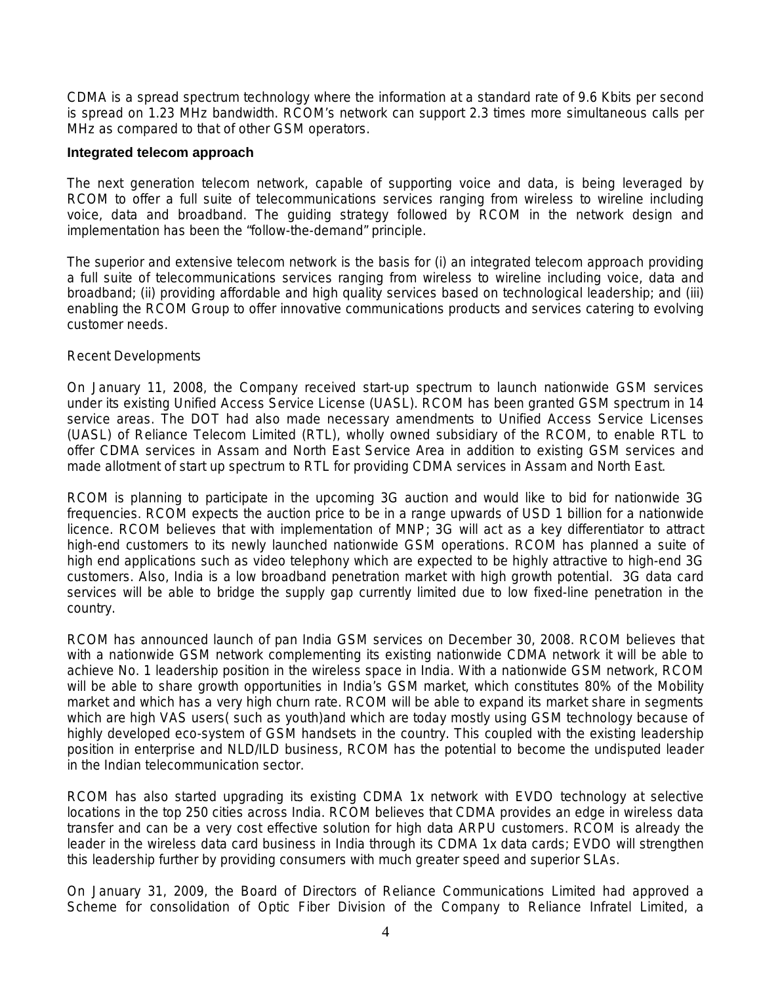CDMA is a spread spectrum technology where the information at a standard rate of 9.6 Kbits per second is spread on 1.23 MHz bandwidth. RCOM's network can support 2.3 times more simultaneous calls per MHz as compared to that of other GSM operators.

#### **Integrated telecom approach**

The next generation telecom network, capable of supporting voice and data, is being leveraged by RCOM to offer a full suite of telecommunications services ranging from wireless to wireline including voice, data and broadband. The guiding strategy followed by RCOM in the network design and implementation has been the "follow-the-demand" principle.

The superior and extensive telecom network is the basis for (i) an integrated telecom approach providing a full suite of telecommunications services ranging from wireless to wireline including voice, data and broadband; (ii) providing affordable and high quality services based on technological leadership; and (iii) enabling the RCOM Group to offer innovative communications products and services catering to evolving customer needs.

### Recent Developments

On January 11, 2008, the Company received start-up spectrum to launch nationwide GSM services under its existing Unified Access Service License (UASL). RCOM has been granted GSM spectrum in 14 service areas. The DOT had also made necessary amendments to Unified Access Service Licenses (UASL) of Reliance Telecom Limited (RTL), wholly owned subsidiary of the RCOM, to enable RTL to offer CDMA services in Assam and North East Service Area in addition to existing GSM services and made allotment of start up spectrum to RTL for providing CDMA services in Assam and North East.

RCOM is planning to participate in the upcoming 3G auction and would like to bid for nationwide 3G frequencies. RCOM expects the auction price to be in a range upwards of USD 1 billion for a nationwide licence. RCOM believes that with implementation of MNP; 3G will act as a key differentiator to attract high-end customers to its newly launched nationwide GSM operations. RCOM has planned a suite of high end applications such as video telephony which are expected to be highly attractive to high-end 3G customers. Also, India is a low broadband penetration market with high growth potential. 3G data card services will be able to bridge the supply gap currently limited due to low fixed-line penetration in the country.

RCOM has announced launch of pan India GSM services on December 30, 2008. RCOM believes that with a nationwide GSM network complementing its existing nationwide CDMA network it will be able to achieve No. 1 leadership position in the wireless space in India. With a nationwide GSM network, RCOM will be able to share growth opportunities in India's GSM market, which constitutes 80% of the Mobility market and which has a very high churn rate. RCOM will be able to expand its market share in segments which are high VAS users( such as youth)and which are today mostly using GSM technology because of highly developed eco-system of GSM handsets in the country. This coupled with the existing leadership position in enterprise and NLD/ILD business, RCOM has the potential to become the undisputed leader in the Indian telecommunication sector.

RCOM has also started upgrading its existing CDMA 1x network with EVDO technology at selective locations in the top 250 cities across India. RCOM believes that CDMA provides an edge in wireless data transfer and can be a very cost effective solution for high data ARPU customers. RCOM is already the leader in the wireless data card business in India through its CDMA 1x data cards; EVDO will strengthen this leadership further by providing consumers with much greater speed and superior SLAs.

On January 31, 2009, the Board of Directors of Reliance Communications Limited had approved a Scheme for consolidation of Optic Fiber Division of the Company to Reliance Infratel Limited, a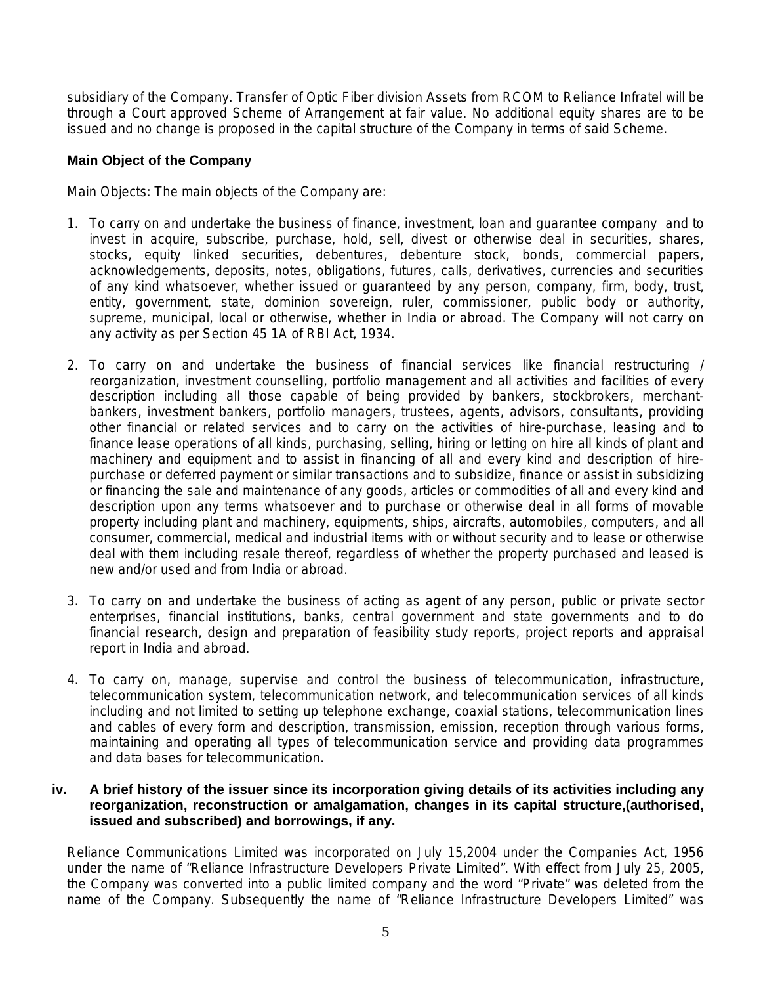subsidiary of the Company. Transfer of Optic Fiber division Assets from RCOM to Reliance Infratel will be through a Court approved Scheme of Arrangement at fair value. No additional equity shares are to be issued and no change is proposed in the capital structure of the Company in terms of said Scheme.

## **Main Object of the Company**

Main Objects: The main objects of the Company are:

- 1. To carry on and undertake the business of finance, investment, loan and guarantee company and to invest in acquire, subscribe, purchase, hold, sell, divest or otherwise deal in securities, shares, stocks, equity linked securities, debentures, debenture stock, bonds, commercial papers, acknowledgements, deposits, notes, obligations, futures, calls, derivatives, currencies and securities of any kind whatsoever, whether issued or guaranteed by any person, company, firm, body, trust, entity, government, state, dominion sovereign, ruler, commissioner, public body or authority, supreme, municipal, local or otherwise, whether in India or abroad. The Company will not carry on any activity as per Section 45 1A of RBI Act, 1934.
- 2. To carry on and undertake the business of financial services like financial restructuring / reorganization, investment counselling, portfolio management and all activities and facilities of every description including all those capable of being provided by bankers, stockbrokers, merchantbankers, investment bankers, portfolio managers, trustees, agents, advisors, consultants, providing other financial or related services and to carry on the activities of hire-purchase, leasing and to finance lease operations of all kinds, purchasing, selling, hiring or letting on hire all kinds of plant and machinery and equipment and to assist in financing of all and every kind and description of hirepurchase or deferred payment or similar transactions and to subsidize, finance or assist in subsidizing or financing the sale and maintenance of any goods, articles or commodities of all and every kind and description upon any terms whatsoever and to purchase or otherwise deal in all forms of movable property including plant and machinery, equipments, ships, aircrafts, automobiles, computers, and all consumer, commercial, medical and industrial items with or without security and to lease or otherwise deal with them including resale thereof, regardless of whether the property purchased and leased is new and/or used and from India or abroad.
- 3. To carry on and undertake the business of acting as agent of any person, public or private sector enterprises, financial institutions, banks, central government and state governments and to do financial research, design and preparation of feasibility study reports, project reports and appraisal report in India and abroad.
- 4. To carry on, manage, supervise and control the business of telecommunication, infrastructure, telecommunication system, telecommunication network, and telecommunication services of all kinds including and not limited to setting up telephone exchange, coaxial stations, telecommunication lines and cables of every form and description, transmission, emission, reception through various forms, maintaining and operating all types of telecommunication service and providing data programmes and data bases for telecommunication.

### **iv. A brief history of the issuer since its incorporation giving details of its activities including any reorganization, reconstruction or amalgamation, changes in its capital structure,(authorised, issued and subscribed) and borrowings, if any.**

Reliance Communications Limited was incorporated on July 15,2004 under the Companies Act, 1956 under the name of "Reliance Infrastructure Developers Private Limited". With effect from July 25, 2005, the Company was converted into a public limited company and the word "Private" was deleted from the name of the Company. Subsequently the name of "Reliance Infrastructure Developers Limited" was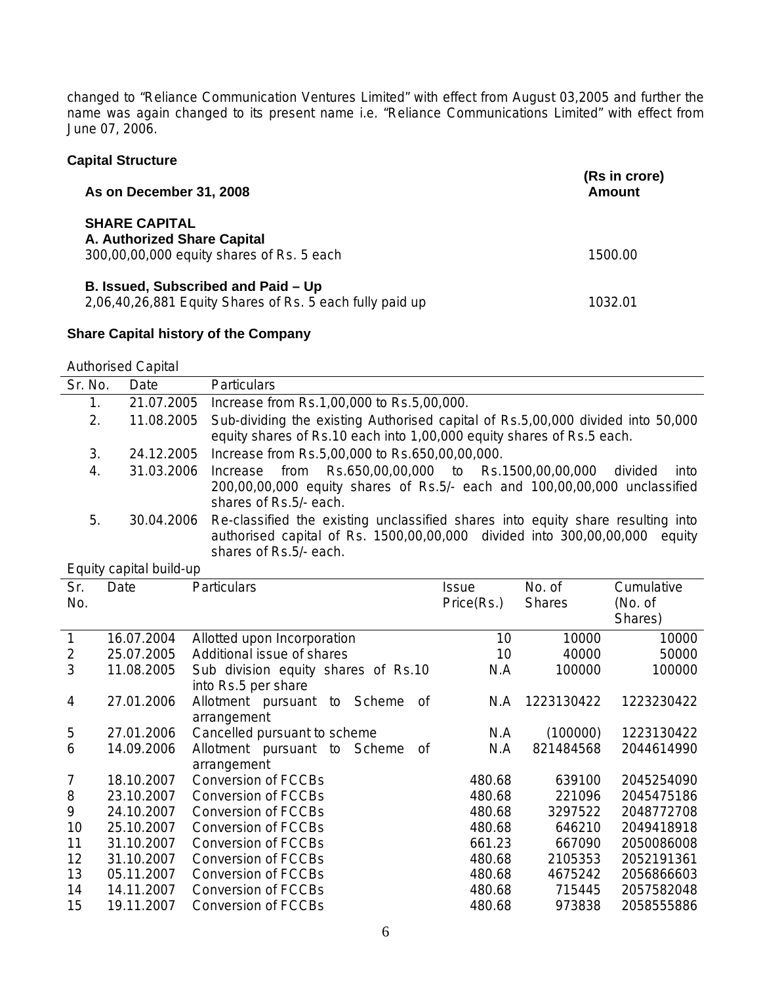changed to "Reliance Communication Ventures Limited" with effect from August 03,2005 and further the name was again changed to its present name i.e. "Reliance Communications Limited" with effect from June 07, 2006.

| <b>Capital Structure</b>                                                                         |                         |  |
|--------------------------------------------------------------------------------------------------|-------------------------|--|
| As on December 31, 2008                                                                          | (Rs in crore)<br>Amount |  |
| <b>SHARE CAPITAL</b><br>A. Authorized Share Capital<br>300,00,00,000 equity shares of Rs. 5 each | 1500.00                 |  |
| B. Issued, Subscribed and Paid – Up<br>2,06,40,26,881 Equity Shares of Rs. 5 each fully paid up  | 1032.01                 |  |

## **Share Capital history of the Company**

Authorised Capital

| Sr. No. | Date       | <b>Particulars</b>                                                                                                                                                                         |
|---------|------------|--------------------------------------------------------------------------------------------------------------------------------------------------------------------------------------------|
| 1.      | 21.07.2005 | Increase from Rs.1,00,000 to Rs.5,00,000.                                                                                                                                                  |
| 2.      | 11.08.2005 | Sub-dividing the existing Authorised capital of Rs.5,00,000 divided into 50,000<br>equity shares of Rs.10 each into 1,00,000 equity shares of Rs.5 each.                                   |
| 3.      | 24.12.2005 | Increase from Rs.5,00,000 to Rs.650,00,00,000.                                                                                                                                             |
| 4.      | 31.03.2006 | Rs.650,00,00,000 to Rs.1500,00,00,000<br>Increase from<br>divided<br>into<br>200,00,00,000 equity shares of Rs.5/- each and 100,00,00,000 unclassified<br>shares of Rs.5/- each.           |
| 5.      | 30.04.2006 | Re-classified the existing unclassified shares into equity share resulting into<br>authorised capital of Rs. 1500,00,00,000 divided into 300,00,00,000<br>equity<br>shares of Rs.5/- each. |

#### Equity capital build-up

| Sr.<br>No.     | Date       | <b>Particulars</b>                                         | Issue<br>Price(Rs.) | No. of<br><b>Shares</b> | Cumulative<br>(No. of<br>Shares) |
|----------------|------------|------------------------------------------------------------|---------------------|-------------------------|----------------------------------|
| 1              | 16.07.2004 | Allotted upon Incorporation                                | 10                  | 10000                   | 10000                            |
| 2              | 25.07.2005 | Additional issue of shares                                 | 10                  | 40000                   | 50000                            |
| 3              | 11.08.2005 | Sub division equity shares of Rs.10<br>into Rs.5 per share | N.A                 | 100000                  | 100000                           |
| 4              | 27.01.2006 | Allotment pursuant to<br>Scheme<br>of<br>arrangement       | N.A                 | 1223130422              | 1223230422                       |
| 5              | 27.01.2006 | Cancelled pursuant to scheme                               | N.A                 | (100000)                | 1223130422                       |
| 6              | 14.09.2006 | Allotment pursuant to Scheme<br>οf<br>arrangement          | N.A                 | 821484568               | 2044614990                       |
| $\overline{7}$ | 18.10.2007 | <b>Conversion of FCCBs</b>                                 | 480.68              | 639100                  | 2045254090                       |
| 8              | 23.10.2007 | <b>Conversion of FCCBs</b>                                 | 480.68              | 221096                  | 2045475186                       |
| 9              | 24.10.2007 | <b>Conversion of FCCBs</b>                                 | 480.68              | 3297522                 | 2048772708                       |
| 10             | 25.10.2007 | <b>Conversion of FCCBs</b>                                 | 480.68              | 646210                  | 2049418918                       |
| 11             | 31.10.2007 | <b>Conversion of FCCBs</b>                                 | 661.23              | 667090                  | 2050086008                       |
| 12             | 31.10.2007 | <b>Conversion of FCCBs</b>                                 | 480.68              | 2105353                 | 2052191361                       |
| 13             | 05.11.2007 | <b>Conversion of FCCBs</b>                                 | 480.68              | 4675242                 | 2056866603                       |
| 14             | 14.11.2007 | <b>Conversion of FCCBs</b>                                 | 480.68              | 715445                  | 2057582048                       |
| 15             | 19.11.2007 | Conversion of FCCBs                                        | 480.68              | 973838                  | 2058555886                       |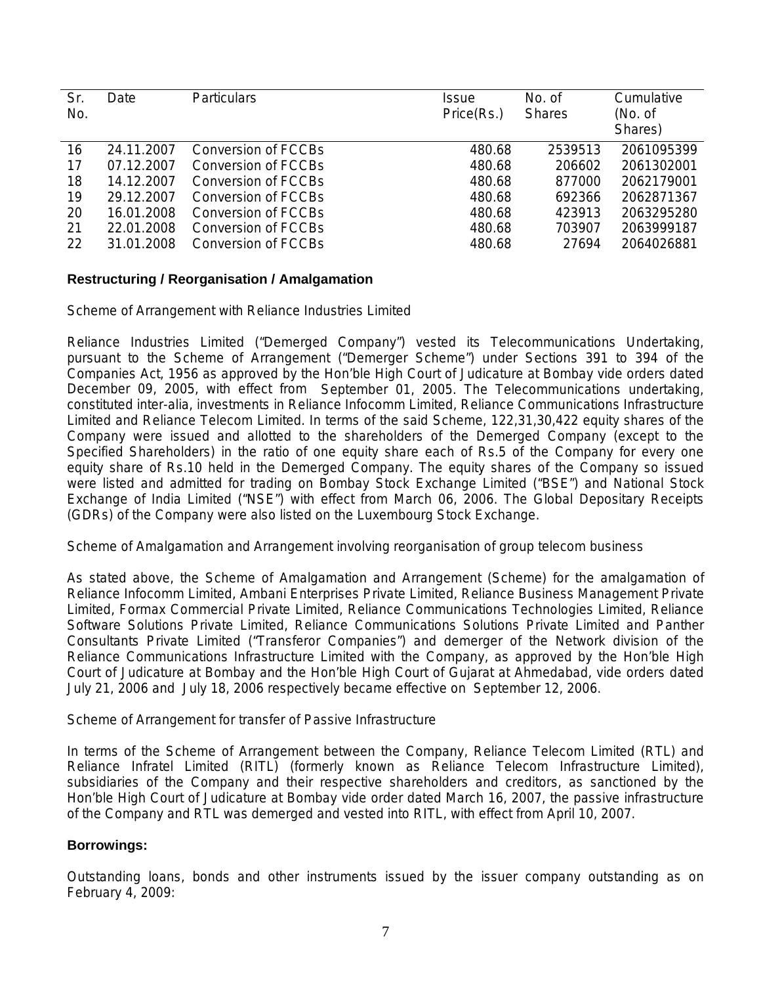| Sr.<br>No. | Date       | <b>Particulars</b>  | Issue<br>Price(Rs.) | No. of<br><b>Shares</b> | Cumulative<br>(No. of<br>Shares) |
|------------|------------|---------------------|---------------------|-------------------------|----------------------------------|
| 16         | 24.11.2007 | Conversion of FCCBs | 480.68              | 2539513                 | 2061095399                       |
| 17         | 07.12.2007 | Conversion of FCCBs | 480.68              | 206602                  | 2061302001                       |
| 18         | 14.12.2007 | Conversion of FCCBs | 480.68              | 877000                  | 2062179001                       |
| 19         | 29.12.2007 | Conversion of FCCBs | 480.68              | 692366                  | 2062871367                       |
| 20         | 16.01.2008 | Conversion of FCCBs | 480.68              | 423913                  | 2063295280                       |
| 21         | 22.01.2008 | Conversion of FCCBs | 480.68              | 703907                  | 2063999187                       |
| 22         | 31.01.2008 | Conversion of FCCBs | 480.68              | 27694                   | 2064026881                       |

### **Restructuring / Reorganisation / Amalgamation**

Scheme of Arrangement with Reliance Industries Limited

Reliance Industries Limited ("Demerged Company") vested its Telecommunications Undertaking, pursuant to the Scheme of Arrangement ("Demerger Scheme") under Sections 391 to 394 of the Companies Act, 1956 as approved by the Hon'ble High Court of Judicature at Bombay vide orders dated December 09, 2005, with effect from September 01, 2005. The Telecommunications undertaking, constituted inter-alia, investments in Reliance Infocomm Limited, Reliance Communications Infrastructure Limited and Reliance Telecom Limited. In terms of the said Scheme, 122,31,30,422 equity shares of the Company were issued and allotted to the shareholders of the Demerged Company (except to the Specified Shareholders) in the ratio of one equity share each of Rs.5 of the Company for every one equity share of Rs.10 held in the Demerged Company. The equity shares of the Company so issued were listed and admitted for trading on Bombay Stock Exchange Limited ("BSE") and National Stock Exchange of India Limited ("NSE") with effect from March 06, 2006. The Global Depositary Receipts (GDRs) of the Company were also listed on the Luxembourg Stock Exchange.

Scheme of Amalgamation and Arrangement involving reorganisation of group telecom business

As stated above, the Scheme of Amalgamation and Arrangement (Scheme) for the amalgamation of Reliance Infocomm Limited, Ambani Enterprises Private Limited, Reliance Business Management Private Limited, Formax Commercial Private Limited, Reliance Communications Technologies Limited, Reliance Software Solutions Private Limited, Reliance Communications Solutions Private Limited and Panther Consultants Private Limited ("Transferor Companies") and demerger of the Network division of the Reliance Communications Infrastructure Limited with the Company, as approved by the Hon'ble High Court of Judicature at Bombay and the Hon'ble High Court of Gujarat at Ahmedabad, vide orders dated July 21, 2006 and July 18, 2006 respectively became effective on September 12, 2006.

Scheme of Arrangement for transfer of Passive Infrastructure

In terms of the Scheme of Arrangement between the Company, Reliance Telecom Limited (RTL) and Reliance Infratel Limited (RITL) (formerly known as Reliance Telecom Infrastructure Limited), subsidiaries of the Company and their respective shareholders and creditors, as sanctioned by the Hon'ble High Court of Judicature at Bombay vide order dated March 16, 2007, the passive infrastructure of the Company and RTL was demerged and vested into RITL, with effect from April 10, 2007.

### **Borrowings:**

Outstanding loans, bonds and other instruments issued by the issuer company outstanding as on February 4, 2009: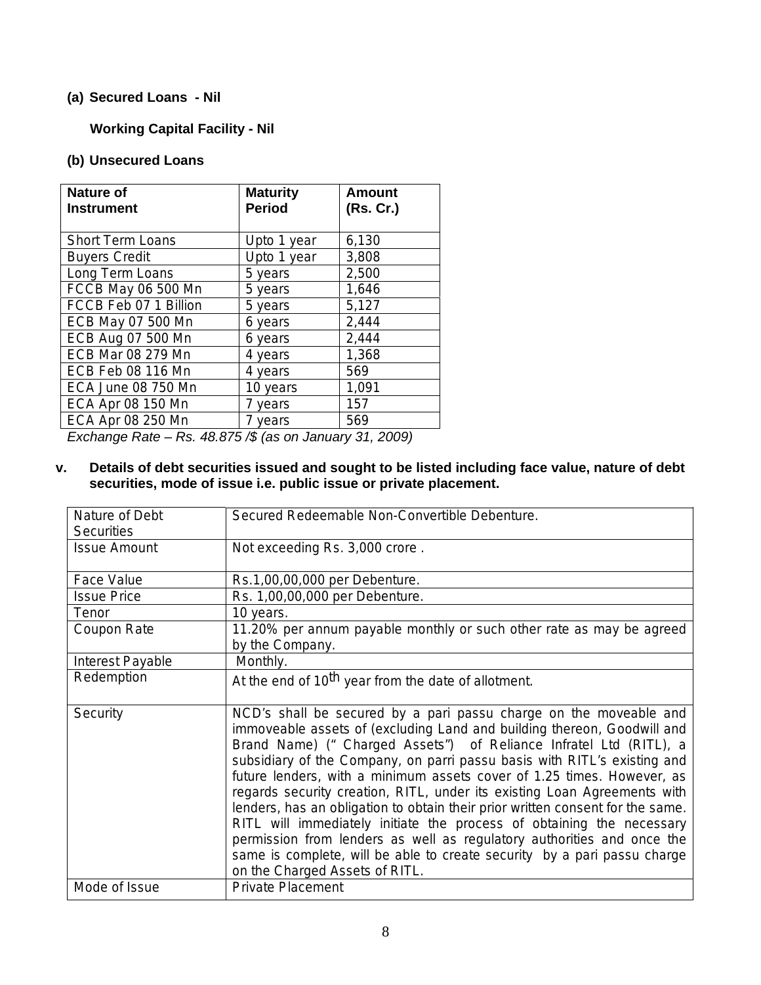## **(a) Secured Loans - Nil**

## **Working Capital Facility - Nil**

## **(b) Unsecured Loans**

| <b>Nature of</b><br><b>Instrument</b> | <b>Maturity</b><br><b>Period</b> | Amount<br>(Rs. Cr.) |
|---------------------------------------|----------------------------------|---------------------|
| <b>Short Term Loans</b>               | Upto 1 year                      | 6,130               |
| <b>Buyers Credit</b>                  | Upto 1 year                      | 3,808               |
| Long Term Loans                       | 5 years                          | 2,500               |
| FCCB May 06 500 Mn                    | 5 years                          | 1,646               |
| FCCB Feb 07 1 Billion                 | 5 years                          | 5,127               |
| ECB May 07 500 Mn                     | 6 years                          | 2,444               |
| ECB Aug 07 500 Mn                     | 6 years                          | 2,444               |
| ECB Mar 08 279 Mn                     | 4 years                          | 1,368               |
| ECB Feb 08 116 Mn                     | 4 years                          | 569                 |
| <b>ECA June 08 750 Mn</b>             | 10 years                         | 1,091               |
| ECA Apr 08 150 Mn                     | 7 years                          | 157                 |
| ECA Apr 08 250 Mn                     | 7 years                          | 569                 |

*Exchange Rate – Rs. 48.875 /\$ (as on January 31, 2009)* 

## **v. Details of debt securities issued and sought to be listed including face value, nature of debt securities, mode of issue i.e. public issue or private placement.**

| Nature of Debt<br><b>Securities</b> | Secured Redeemable Non-Convertible Debenture.                                                                                                                                                                                                                                                                                                                                                                                                                                                                                                                                                                                                                                                                                                                                                           |
|-------------------------------------|---------------------------------------------------------------------------------------------------------------------------------------------------------------------------------------------------------------------------------------------------------------------------------------------------------------------------------------------------------------------------------------------------------------------------------------------------------------------------------------------------------------------------------------------------------------------------------------------------------------------------------------------------------------------------------------------------------------------------------------------------------------------------------------------------------|
| <b>Issue Amount</b>                 | Not exceeding Rs. 3,000 crore.                                                                                                                                                                                                                                                                                                                                                                                                                                                                                                                                                                                                                                                                                                                                                                          |
| Face Value                          | Rs.1,00,00,000 per Debenture.                                                                                                                                                                                                                                                                                                                                                                                                                                                                                                                                                                                                                                                                                                                                                                           |
| <b>Issue Price</b>                  | Rs. 1,00,00,000 per Debenture.                                                                                                                                                                                                                                                                                                                                                                                                                                                                                                                                                                                                                                                                                                                                                                          |
| Tenor                               | 10 years.                                                                                                                                                                                                                                                                                                                                                                                                                                                                                                                                                                                                                                                                                                                                                                                               |
| Coupon Rate                         | 11.20% per annum payable monthly or such other rate as may be agreed<br>by the Company.                                                                                                                                                                                                                                                                                                                                                                                                                                                                                                                                                                                                                                                                                                                 |
| Interest Payable                    | Monthly.                                                                                                                                                                                                                                                                                                                                                                                                                                                                                                                                                                                                                                                                                                                                                                                                |
| Redemption                          | At the end of 10 <sup>th</sup> year from the date of allotment.                                                                                                                                                                                                                                                                                                                                                                                                                                                                                                                                                                                                                                                                                                                                         |
| Security                            | NCD's shall be secured by a pari passu charge on the moveable and<br>immoveable assets of (excluding Land and building thereon, Goodwill and<br>Brand Name) (" Charged Assets") of Reliance Infratel Ltd (RITL), a<br>subsidiary of the Company, on parri passu basis with RITL's existing and<br>future lenders, with a minimum assets cover of 1.25 times. However, as<br>regards security creation, RITL, under its existing Loan Agreements with<br>lenders, has an obligation to obtain their prior written consent for the same.<br>RITL will immediately initiate the process of obtaining the necessary<br>permission from lenders as well as regulatory authorities and once the<br>same is complete, will be able to create security by a pari passu charge<br>on the Charged Assets of RITL. |
| Mode of Issue                       | <b>Private Placement</b>                                                                                                                                                                                                                                                                                                                                                                                                                                                                                                                                                                                                                                                                                                                                                                                |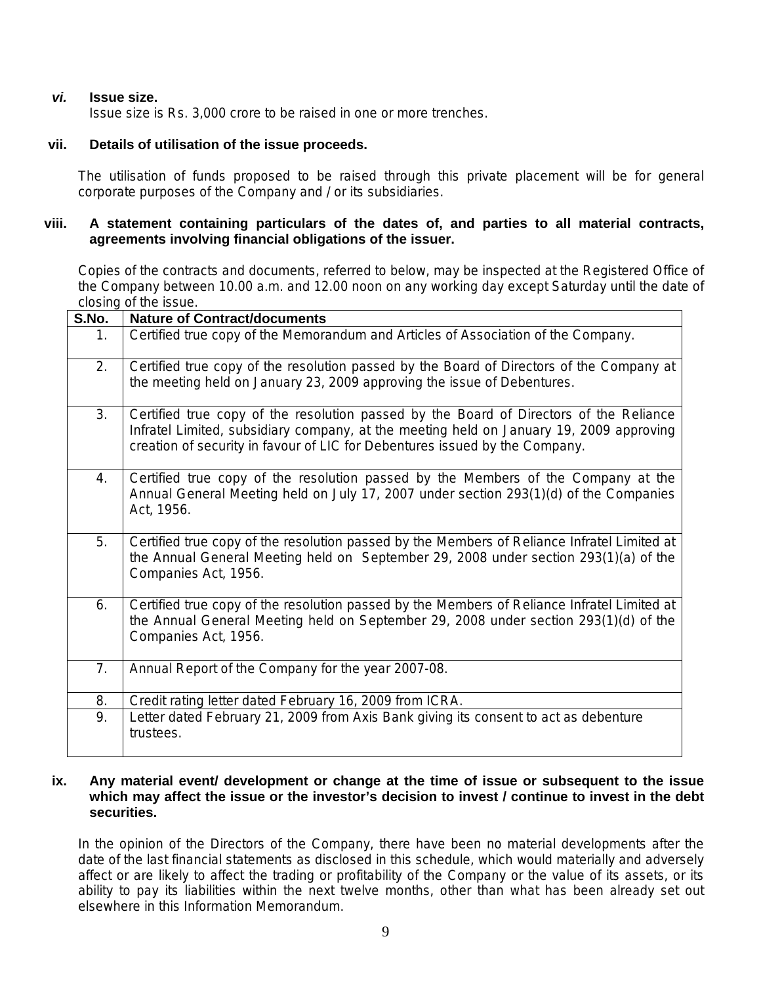## *vi.* **Issue size.**

Issue size is Rs. 3,000 crore to be raised in one or more trenches.

## **vii. Details of utilisation of the issue proceeds.**

The utilisation of funds proposed to be raised through this private placement will be for general corporate purposes of the Company and / or its subsidiaries.

## **viii. A statement containing particulars of the dates of, and parties to all material contracts, agreements involving financial obligations of the issuer.**

Copies of the contracts and documents, referred to below, may be inspected at the Registered Office of the Company between 10.00 a.m. and 12.00 noon on any working day except Saturday until the date of closing of the issue.

| S.No. | <b>Nature of Contract/documents</b>                                                                                                                                                                                                                              |
|-------|------------------------------------------------------------------------------------------------------------------------------------------------------------------------------------------------------------------------------------------------------------------|
| 1.    | Certified true copy of the Memorandum and Articles of Association of the Company.                                                                                                                                                                                |
| 2.    | Certified true copy of the resolution passed by the Board of Directors of the Company at<br>the meeting held on January 23, 2009 approving the issue of Debentures.                                                                                              |
| 3.    | Certified true copy of the resolution passed by the Board of Directors of the Reliance<br>Infratel Limited, subsidiary company, at the meeting held on January 19, 2009 approving<br>creation of security in favour of LIC for Debentures issued by the Company. |
| 4.    | Certified true copy of the resolution passed by the Members of the Company at the<br>Annual General Meeting held on July 17, 2007 under section 293(1)(d) of the Companies<br>Act, 1956.                                                                         |
| 5.    | Certified true copy of the resolution passed by the Members of Reliance Infratel Limited at<br>the Annual General Meeting held on September 29, 2008 under section 293(1)(a) of the<br>Companies Act, 1956.                                                      |
| 6.    | Certified true copy of the resolution passed by the Members of Reliance Infratel Limited at<br>the Annual General Meeting held on September 29, 2008 under section 293(1)(d) of the<br>Companies Act, 1956.                                                      |
| 7.    | Annual Report of the Company for the year 2007-08.                                                                                                                                                                                                               |
| 8.    | Credit rating letter dated February 16, 2009 from ICRA.                                                                                                                                                                                                          |
| 9.    | Letter dated February 21, 2009 from Axis Bank giving its consent to act as debenture<br>trustees.                                                                                                                                                                |

### **ix. Any material event/ development or change at the time of issue or subsequent to the issue which may affect the issue or the investor's decision to invest / continue to invest in the debt securities.**

In the opinion of the Directors of the Company, there have been no material developments after the date of the last financial statements as disclosed in this schedule, which would materially and adversely affect or are likely to affect the trading or profitability of the Company or the value of its assets, or its ability to pay its liabilities within the next twelve months, other than what has been already set out elsewhere in this Information Memorandum.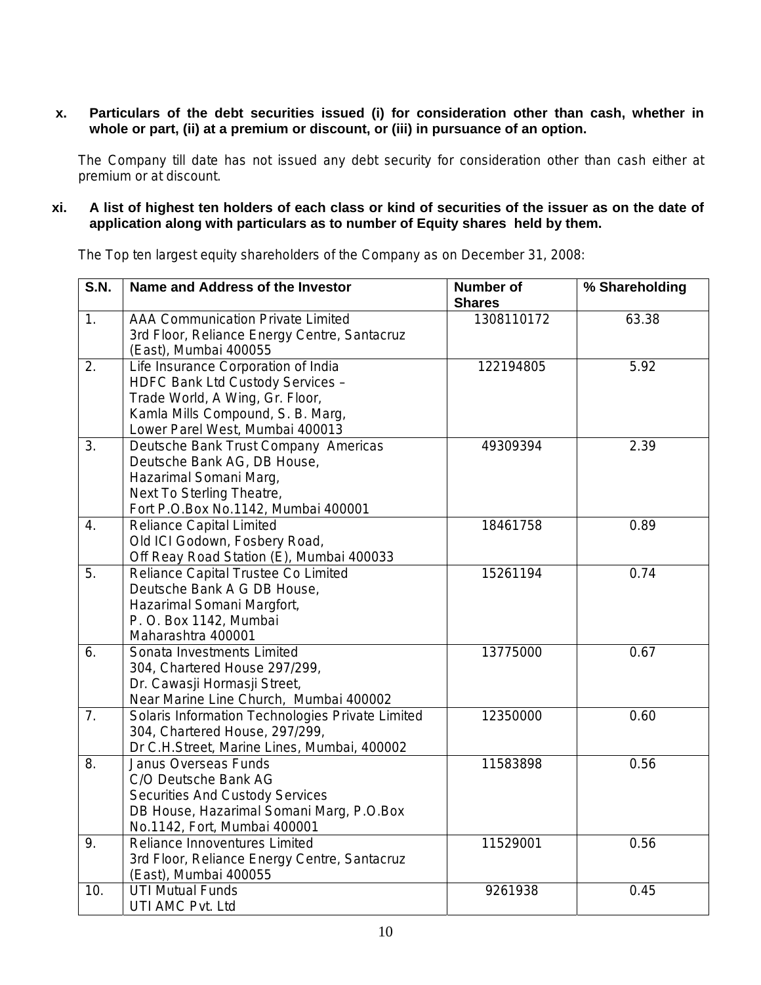## **x. Particulars of the debt securities issued (i) for consideration other than cash, whether in whole or part, (ii) at a premium or discount, or (iii) in pursuance of an option.**

The Company till date has not issued any debt security for consideration other than cash either at premium or at discount.

## **xi. A list of highest ten holders of each class or kind of securities of the issuer as on the date of application along with particulars as to number of Equity shares held by them.**

The Top ten largest equity shareholders of the Company as on December 31, 2008:

| $\overline{S.N.}$ | Name and Address of the Investor                                                                                                                                                   | <b>Number of</b><br><b>Shares</b> | % Shareholding |
|-------------------|------------------------------------------------------------------------------------------------------------------------------------------------------------------------------------|-----------------------------------|----------------|
| 1.                | <b>AAA Communication Private Limited</b><br>3rd Floor, Reliance Energy Centre, Santacruz<br>(East), Mumbai 400055                                                                  | 1308110172                        | 63.38          |
| 2.                | Life Insurance Corporation of India<br>HDFC Bank Ltd Custody Services -<br>Trade World, A Wing, Gr. Floor,<br>Kamla Mills Compound, S. B. Marg,<br>Lower Parel West, Mumbai 400013 | 122194805                         | 5.92           |
| $\overline{3}$ .  | Deutsche Bank Trust Company Americas<br>Deutsche Bank AG, DB House,<br>Hazarimal Somani Marg,<br>Next To Sterling Theatre,<br>Fort P.O.Box No.1142, Mumbai 400001                  | 49309394                          | 2.39           |
| 4.                | <b>Reliance Capital Limited</b><br>Old ICI Godown, Fosbery Road,<br>Off Reay Road Station (E), Mumbai 400033                                                                       | 18461758                          | 0.89           |
| 5.                | Reliance Capital Trustee Co Limited<br>Deutsche Bank A G DB House,<br>Hazarimal Somani Margfort,<br>P. O. Box 1142, Mumbai<br>Maharashtra 400001                                   | 15261194                          | 0.74           |
| 6.                | Sonata Investments Limited<br>304, Chartered House 297/299,<br>Dr. Cawasji Hormasji Street,<br>Near Marine Line Church, Mumbai 400002                                              | 13775000                          | 0.67           |
| 7.                | Solaris Information Technologies Private Limited<br>304, Chartered House, 297/299,<br>Dr C.H.Street, Marine Lines, Mumbai, 400002                                                  | 12350000                          | 0.60           |
| 8.                | <b>Janus Overseas Funds</b><br>C/O Deutsche Bank AG<br><b>Securities And Custody Services</b><br>DB House, Hazarimal Somani Marg, P.O.Box<br>No.1142, Fort, Mumbai 400001          | 11583898                          | 0.56           |
| 9.                | Reliance Innoventures Limited<br>3rd Floor, Reliance Energy Centre, Santacruz<br>(East), Mumbai 400055                                                                             | 11529001                          | 0.56           |
| 10.               | <b>UTI Mutual Funds</b><br>UTI AMC Pvt. Ltd                                                                                                                                        | 9261938                           | 0.45           |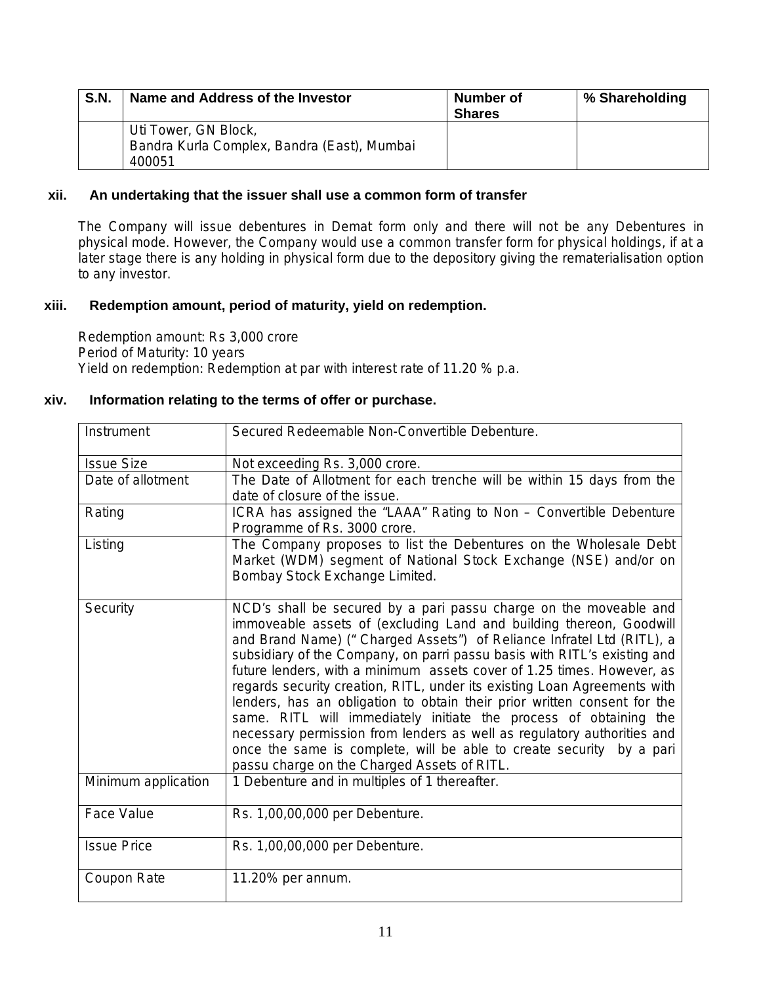| S.N. | Name and Address of the Investor                                              | Number of<br><b>Shares</b> | % Shareholding |
|------|-------------------------------------------------------------------------------|----------------------------|----------------|
|      | Uti Tower, GN Block,<br>Bandra Kurla Complex, Bandra (East), Mumbai<br>400051 |                            |                |

## **xii. An undertaking that the issuer shall use a common form of transfer**

The Company will issue debentures in Demat form only and there will not be any Debentures in physical mode. However, the Company would use a common transfer form for physical holdings, if at a later stage there is any holding in physical form due to the depository giving the rematerialisation option to any investor.

## **xiii. Redemption amount, period of maturity, yield on redemption.**

Redemption amount: Rs 3,000 crore Period of Maturity: 10 years Yield on redemption: Redemption at par with interest rate of 11.20 % p.a.

## **xiv. Information relating to the terms of offer or purchase.**

| Instrument          | Secured Redeemable Non-Convertible Debenture.                                                                                                                                                                                                                                                                                                                                                                                                                                                                                                                                                                                                                                                                                                                                                          |
|---------------------|--------------------------------------------------------------------------------------------------------------------------------------------------------------------------------------------------------------------------------------------------------------------------------------------------------------------------------------------------------------------------------------------------------------------------------------------------------------------------------------------------------------------------------------------------------------------------------------------------------------------------------------------------------------------------------------------------------------------------------------------------------------------------------------------------------|
| <b>Issue Size</b>   | Not exceeding Rs. 3,000 crore.                                                                                                                                                                                                                                                                                                                                                                                                                                                                                                                                                                                                                                                                                                                                                                         |
| Date of allotment   | The Date of Allotment for each trenche will be within 15 days from the<br>date of closure of the issue.                                                                                                                                                                                                                                                                                                                                                                                                                                                                                                                                                                                                                                                                                                |
| Rating              | ICRA has assigned the "LAAA" Rating to Non - Convertible Debenture<br>Programme of Rs. 3000 crore.                                                                                                                                                                                                                                                                                                                                                                                                                                                                                                                                                                                                                                                                                                     |
| Listing             | The Company proposes to list the Debentures on the Wholesale Debt<br>Market (WDM) segment of National Stock Exchange (NSE) and/or on<br>Bombay Stock Exchange Limited.                                                                                                                                                                                                                                                                                                                                                                                                                                                                                                                                                                                                                                 |
| Security            | NCD's shall be secured by a pari passu charge on the moveable and<br>immoveable assets of (excluding Land and building thereon, Goodwill<br>and Brand Name) ("Charged Assets") of Reliance Infratel Ltd (RITL), a<br>subsidiary of the Company, on parri passu basis with RITL's existing and<br>future lenders, with a minimum assets cover of 1.25 times. However, as<br>regards security creation, RITL, under its existing Loan Agreements with<br>lenders, has an obligation to obtain their prior written consent for the<br>same. RITL will immediately initiate the process of obtaining the<br>necessary permission from lenders as well as regulatory authorities and<br>once the same is complete, will be able to create security by a pari<br>passu charge on the Charged Assets of RITL. |
| Minimum application | 1 Debenture and in multiples of 1 thereafter.                                                                                                                                                                                                                                                                                                                                                                                                                                                                                                                                                                                                                                                                                                                                                          |
| <b>Face Value</b>   | Rs. 1,00,00,000 per Debenture.                                                                                                                                                                                                                                                                                                                                                                                                                                                                                                                                                                                                                                                                                                                                                                         |
| <b>Issue Price</b>  | Rs. 1,00,00,000 per Debenture.                                                                                                                                                                                                                                                                                                                                                                                                                                                                                                                                                                                                                                                                                                                                                                         |
| Coupon Rate         | 11.20% per annum.                                                                                                                                                                                                                                                                                                                                                                                                                                                                                                                                                                                                                                                                                                                                                                                      |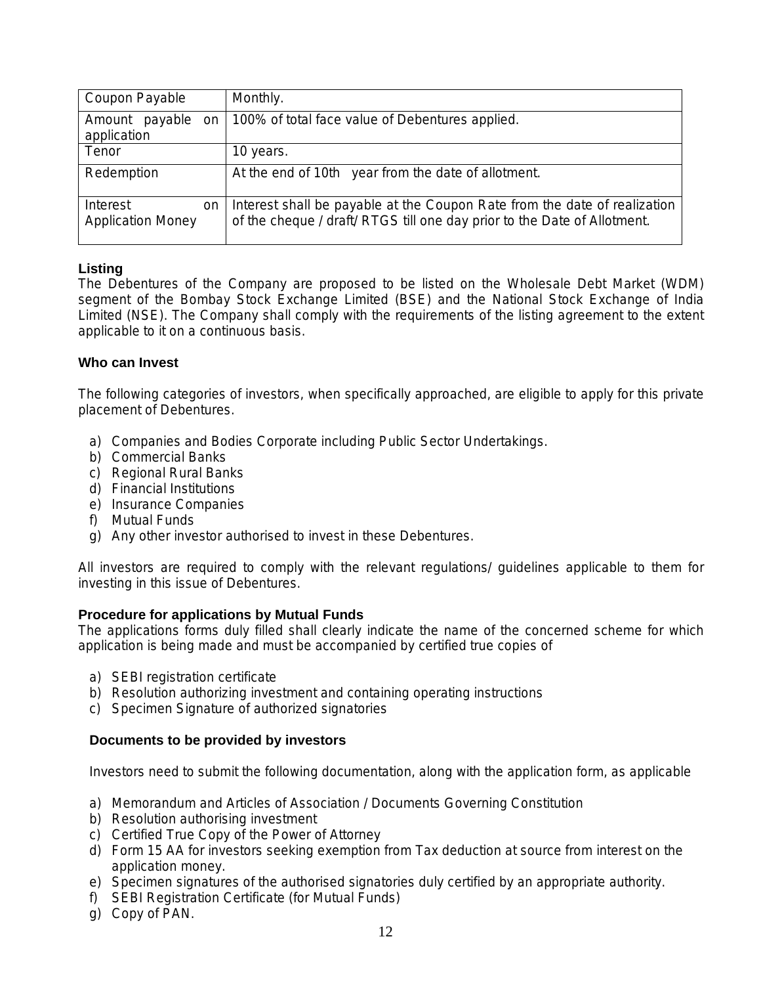| Coupon Payable                             | Monthly.                                                                                                                                              |
|--------------------------------------------|-------------------------------------------------------------------------------------------------------------------------------------------------------|
| payable<br>Amount<br>on<br>application     | 100% of total face value of Debentures applied.                                                                                                       |
| Tenor                                      | 10 years.                                                                                                                                             |
| Redemption                                 | At the end of 10th year from the date of allotment.                                                                                                   |
| Interest<br>on<br><b>Application Money</b> | Interest shall be payable at the Coupon Rate from the date of realization<br>of the cheque / draft/ RTGS till one day prior to the Date of Allotment. |

## **Listing**

The Debentures of the Company are proposed to be listed on the Wholesale Debt Market (WDM) segment of the Bombay Stock Exchange Limited (BSE) and the National Stock Exchange of India Limited (NSE). The Company shall comply with the requirements of the listing agreement to the extent applicable to it on a continuous basis.

## **Who can Invest**

The following categories of investors, when specifically approached, are eligible to apply for this private placement of Debentures.

- a) Companies and Bodies Corporate including Public Sector Undertakings.
- b) Commercial Banks
- c) Regional Rural Banks
- d) Financial Institutions
- e) Insurance Companies
- f) Mutual Funds
- g) Any other investor authorised to invest in these Debentures.

All investors are required to comply with the relevant regulations/ guidelines applicable to them for investing in this issue of Debentures.

## **Procedure for applications by Mutual Funds**

The applications forms duly filled shall clearly indicate the name of the concerned scheme for which application is being made and must be accompanied by certified true copies of

- a) SEBI registration certificate
- b) Resolution authorizing investment and containing operating instructions
- c) Specimen Signature of authorized signatories

## **Documents to be provided by investors**

Investors need to submit the following documentation, along with the application form, as applicable

- a) Memorandum and Articles of Association / Documents Governing Constitution
- b) Resolution authorising investment
- c) Certified True Copy of the Power of Attorney
- d) Form 15 AA for investors seeking exemption from Tax deduction at source from interest on the application money.
- e) Specimen signatures of the authorised signatories duly certified by an appropriate authority.
- f) SEBI Registration Certificate (for Mutual Funds)
- g) Copy of PAN.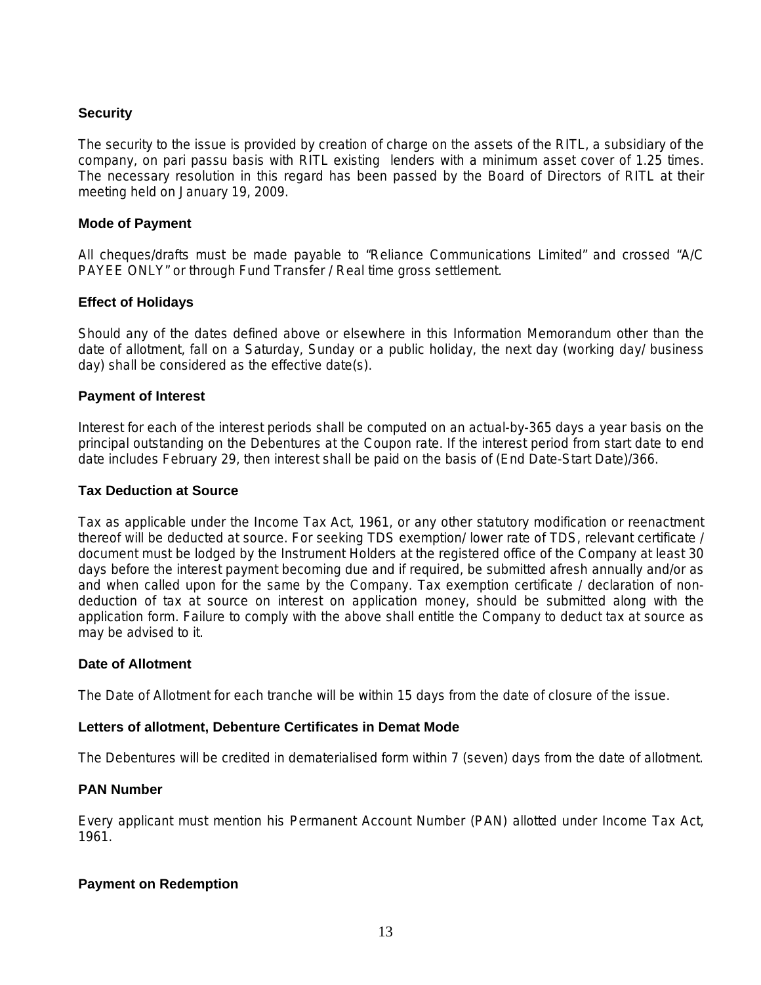## **Security**

The security to the issue is provided by creation of charge on the assets of the RITL, a subsidiary of the company, on pari passu basis with RITL existing lenders with a minimum asset cover of 1.25 times. The necessary resolution in this regard has been passed by the Board of Directors of RITL at their meeting held on January 19, 2009.

### **Mode of Payment**

All cheques/drafts must be made payable to "Reliance Communications Limited" and crossed "A/C PAYEE ONLY" or through Fund Transfer / Real time gross settlement.

## **Effect of Holidays**

Should any of the dates defined above or elsewhere in this Information Memorandum other than the date of allotment, fall on a Saturday, Sunday or a public holiday, the next day (working day/ business day) shall be considered as the effective date(s).

### **Payment of Interest**

Interest for each of the interest periods shall be computed on an actual-by-365 days a year basis on the principal outstanding on the Debentures at the Coupon rate. If the interest period from start date to end date includes February 29, then interest shall be paid on the basis of (End Date-Start Date)/366.

### **Tax Deduction at Source**

Tax as applicable under the Income Tax Act, 1961, or any other statutory modification or reenactment thereof will be deducted at source. For seeking TDS exemption/ lower rate of TDS, relevant certificate / document must be lodged by the Instrument Holders at the registered office of the Company at least 30 days before the interest payment becoming due and if required, be submitted afresh annually and/or as and when called upon for the same by the Company. Tax exemption certificate / declaration of nondeduction of tax at source on interest on application money, should be submitted along with the application form. Failure to comply with the above shall entitle the Company to deduct tax at source as may be advised to it.

### **Date of Allotment**

The Date of Allotment for each tranche will be within 15 days from the date of closure of the issue.

### **Letters of allotment, Debenture Certificates in Demat Mode**

The Debentures will be credited in dematerialised form within 7 (seven) days from the date of allotment.

### **PAN Number**

Every applicant must mention his Permanent Account Number (PAN) allotted under Income Tax Act, 1961.

### **Payment on Redemption**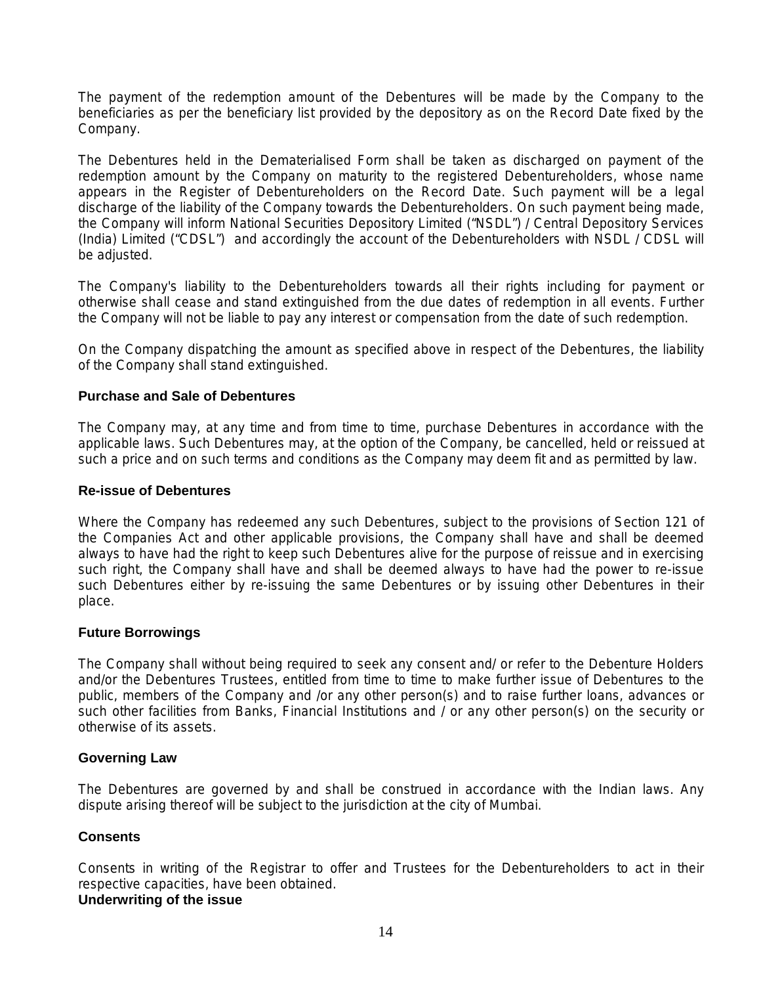The payment of the redemption amount of the Debentures will be made by the Company to the beneficiaries as per the beneficiary list provided by the depository as on the Record Date fixed by the Company.

The Debentures held in the Dematerialised Form shall be taken as discharged on payment of the redemption amount by the Company on maturity to the registered Debentureholders, whose name appears in the Register of Debentureholders on the Record Date. Such payment will be a legal discharge of the liability of the Company towards the Debentureholders. On such payment being made, the Company will inform National Securities Depository Limited ("NSDL") / Central Depository Services (India) Limited ("CDSL") and accordingly the account of the Debentureholders with NSDL / CDSL will be adjusted.

The Company's liability to the Debentureholders towards all their rights including for payment or otherwise shall cease and stand extinguished from the due dates of redemption in all events. Further the Company will not be liable to pay any interest or compensation from the date of such redemption.

On the Company dispatching the amount as specified above in respect of the Debentures, the liability of the Company shall stand extinguished.

## **Purchase and Sale of Debentures**

The Company may, at any time and from time to time, purchase Debentures in accordance with the applicable laws. Such Debentures may, at the option of the Company, be cancelled, held or reissued at such a price and on such terms and conditions as the Company may deem fit and as permitted by law.

### **Re-issue of Debentures**

Where the Company has redeemed any such Debentures, subject to the provisions of Section 121 of the Companies Act and other applicable provisions, the Company shall have and shall be deemed always to have had the right to keep such Debentures alive for the purpose of reissue and in exercising such right, the Company shall have and shall be deemed always to have had the power to re-issue such Debentures either by re-issuing the same Debentures or by issuing other Debentures in their place.

### **Future Borrowings**

The Company shall without being required to seek any consent and/ or refer to the Debenture Holders and/or the Debentures Trustees, entitled from time to time to make further issue of Debentures to the public, members of the Company and /or any other person(s) and to raise further loans, advances or such other facilities from Banks, Financial Institutions and / or any other person(s) on the security or otherwise of its assets.

### **Governing Law**

The Debentures are governed by and shall be construed in accordance with the Indian laws. Any dispute arising thereof will be subject to the jurisdiction at the city of Mumbai.

### **Consents**

Consents in writing of the Registrar to offer and Trustees for the Debentureholders to act in their respective capacities, have been obtained. **Underwriting of the issue**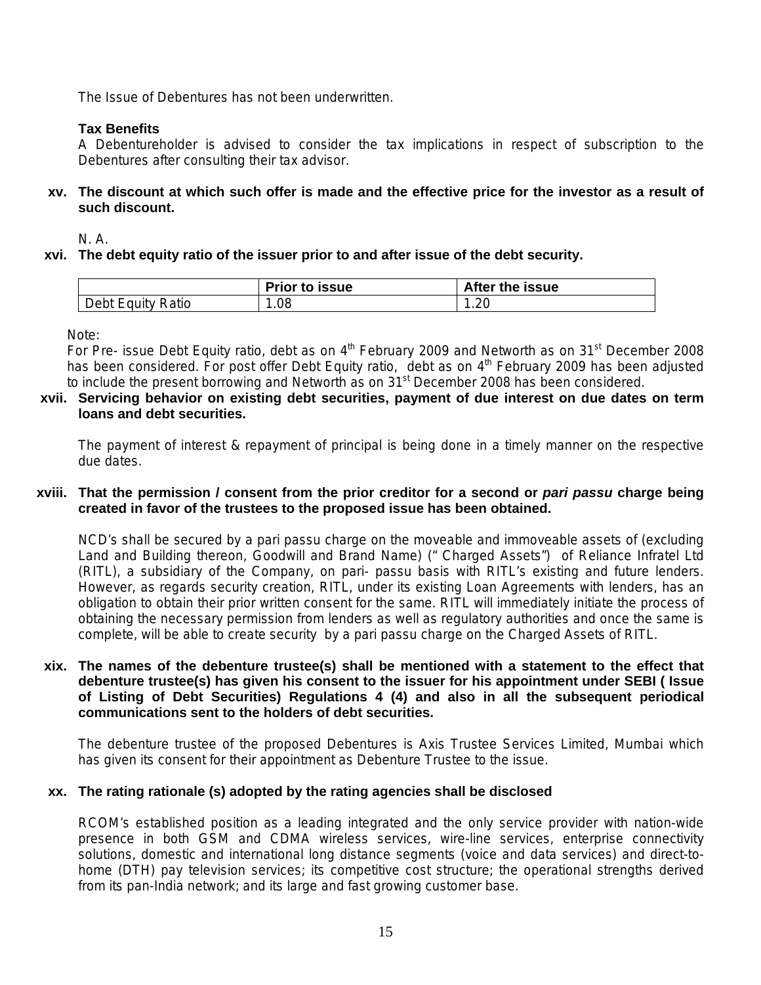The Issue of Debentures has not been underwritten.

## **Tax Benefits**

A Debentureholder is advised to consider the tax implications in respect of subscription to the Debentures after consulting their tax advisor.

**xv. The discount at which such offer is made and the effective price for the investor as a result of such discount.** 

N. A.

**xvi. The debt equity ratio of the issuer prior to and after issue of the debt security.** 

|                   | <b>Prior to issue</b> | After the issue |
|-------------------|-----------------------|-----------------|
| Debt Equity Ratio | .08                   | 1.20            |

Note:

For Pre- issue Debt Equity ratio, debt as on  $4<sup>th</sup>$  February 2009 and Networth as on 31<sup>st</sup> December 2008 has been considered. For post offer Debt Equity ratio, debt as on 4<sup>th</sup> February 2009 has been adjusted to include the present borrowing and Networth as on 31<sup>st</sup> December 2008 has been considered.

### **xvii. Servicing behavior on existing debt securities, payment of due interest on due dates on term loans and debt securities.**

The payment of interest & repayment of principal is being done in a timely manner on the respective due dates.

### **xviii. That the permission / consent from the prior creditor for a second or** *pari passu* **charge being created in favor of the trustees to the proposed issue has been obtained.**

NCD's shall be secured by a pari passu charge on the moveable and immoveable assets of (excluding Land and Building thereon, Goodwill and Brand Name) (" Charged Assets") of Reliance Infratel Ltd (RITL), a subsidiary of the Company, on pari- passu basis with RITL's existing and future lenders. However, as regards security creation, RITL, under its existing Loan Agreements with lenders, has an obligation to obtain their prior written consent for the same. RITL will immediately initiate the process of obtaining the necessary permission from lenders as well as regulatory authorities and once the same is complete, will be able to create security by a pari passu charge on the Charged Assets of RITL.

**xix. The names of the debenture trustee(s) shall be mentioned with a statement to the effect that debenture trustee(s) has given his consent to the issuer for his appointment under SEBI ( Issue of Listing of Debt Securities) Regulations 4 (4) and also in all the subsequent periodical communications sent to the holders of debt securities.** 

The debenture trustee of the proposed Debentures is Axis Trustee Services Limited, Mumbai which has given its consent for their appointment as Debenture Trustee to the issue.

### **xx. The rating rationale (s) adopted by the rating agencies shall be disclosed**

RCOM's established position as a leading integrated and the only service provider with nation-wide presence in both GSM and CDMA wireless services, wire-line services, enterprise connectivity solutions, domestic and international long distance segments (voice and data services) and direct-tohome (DTH) pay television services; its competitive cost structure; the operational strengths derived from its pan-India network; and its large and fast growing customer base.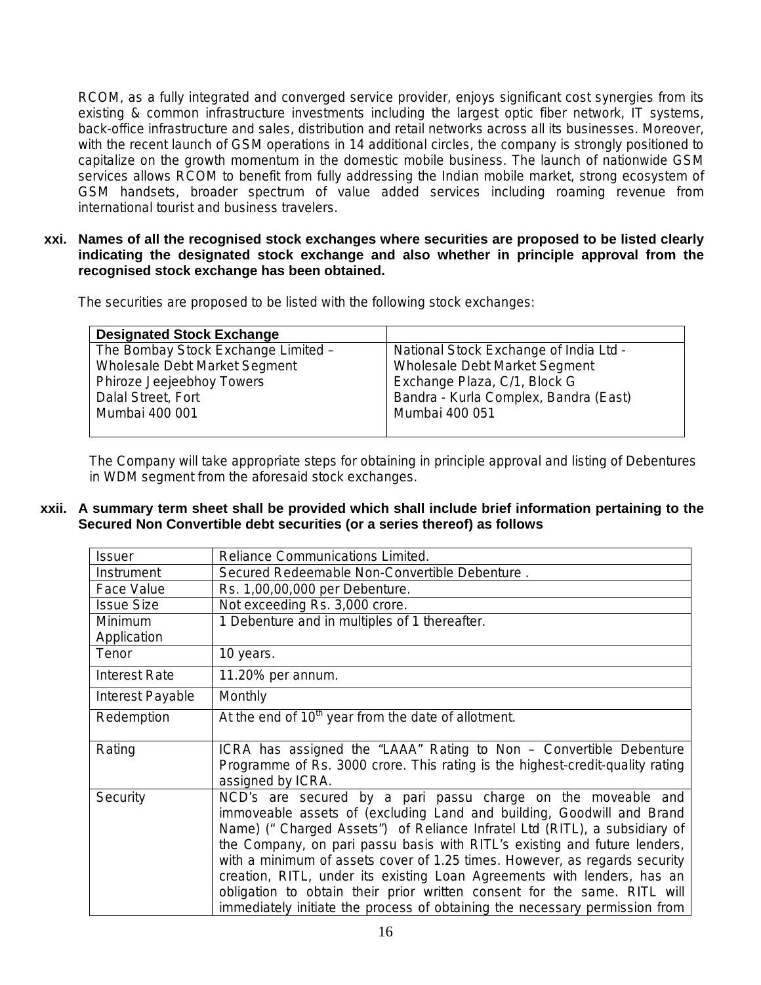RCOM, as a fully integrated and converged service provider, enjoys significant cost synergies from its existing & common infrastructure investments including the largest optic fiber network, IT systems, back-office infrastructure and sales, distribution and retail networks across all its businesses. Moreover, with the recent launch of GSM operations in 14 additional circles, the company is strongly positioned to capitalize on the growth momentum in the domestic mobile business. The launch of nationwide GSM services allows RCOM to benefit from fully addressing the Indian mobile market, strong ecosystem of GSM handsets, broader spectrum of value added services including roaming revenue from international tourist and business travelers.

**xxi. Names of all the recognised stock exchanges where securities are proposed to be listed clearly indicating the designated stock exchange and also whether in principle approval from the recognised stock exchange has been obtained.** 

The securities are proposed to be listed with the following stock exchanges:

| <b>Designated Stock Exchange</b>    |                                        |
|-------------------------------------|----------------------------------------|
| The Bombay Stock Exchange Limited - | National Stock Exchange of India Ltd - |
| Wholesale Debt Market Segment       | Wholesale Debt Market Segment          |
| Phiroze Jeejeebhoy Towers           | Exchange Plaza, C/1, Block G           |
| Dalal Street, Fort                  | Bandra - Kurla Complex, Bandra (East)  |
| Mumbai 400 001                      | Mumbai 400 051                         |
|                                     |                                        |

The Company will take appropriate steps for obtaining in principle approval and listing of Debentures in WDM segment from the aforesaid stock exchanges.

**xxii. A summary term sheet shall be provided which shall include brief information pertaining to the Secured Non Convertible debt securities (or a series thereof) as follows**

| <b>Issuer</b>        | <b>Reliance Communications Limited.</b>                                                                                                                                                                                                                                                                                                                                                                                                                  |
|----------------------|----------------------------------------------------------------------------------------------------------------------------------------------------------------------------------------------------------------------------------------------------------------------------------------------------------------------------------------------------------------------------------------------------------------------------------------------------------|
| Instrument           | Secured Redeemable Non-Convertible Debenture.                                                                                                                                                                                                                                                                                                                                                                                                            |
| Face Value           | Rs. 1,00,00,000 per Debenture.                                                                                                                                                                                                                                                                                                                                                                                                                           |
| <b>Issue Size</b>    | Not exceeding Rs. 3,000 crore.                                                                                                                                                                                                                                                                                                                                                                                                                           |
| Minimum              | 1 Debenture and in multiples of 1 thereafter.                                                                                                                                                                                                                                                                                                                                                                                                            |
| Application          |                                                                                                                                                                                                                                                                                                                                                                                                                                                          |
| Tenor                | 10 years.                                                                                                                                                                                                                                                                                                                                                                                                                                                |
| <b>Interest Rate</b> | 11.20% per annum.                                                                                                                                                                                                                                                                                                                                                                                                                                        |
| Interest Payable     | Monthly                                                                                                                                                                                                                                                                                                                                                                                                                                                  |
| Redemption           | At the end of $10th$ year from the date of allotment.                                                                                                                                                                                                                                                                                                                                                                                                    |
| Rating               | ICRA has assigned the "LAAA" Rating to Non – Convertible Debenture<br>Programme of Rs. 3000 crore. This rating is the highest-credit-quality rating                                                                                                                                                                                                                                                                                                      |
|                      | assigned by ICRA.                                                                                                                                                                                                                                                                                                                                                                                                                                        |
| Security             | NCD's are secured by a pari passu charge on the moveable and<br>immoveable assets of (excluding Land and building, Goodwill and Brand<br>Name) ("Charged Assets") of Reliance Infratel Ltd (RITL), a subsidiary of<br>the Company, on pari passu basis with RITL's existing and future lenders,<br>with a minimum of assets cover of 1.25 times. However, as regards security<br>creation, RITL, under its existing Loan Agreements with lenders, has an |
|                      | obligation to obtain their prior written consent for the same. RITL will<br>immediately initiate the process of obtaining the necessary permission from                                                                                                                                                                                                                                                                                                  |